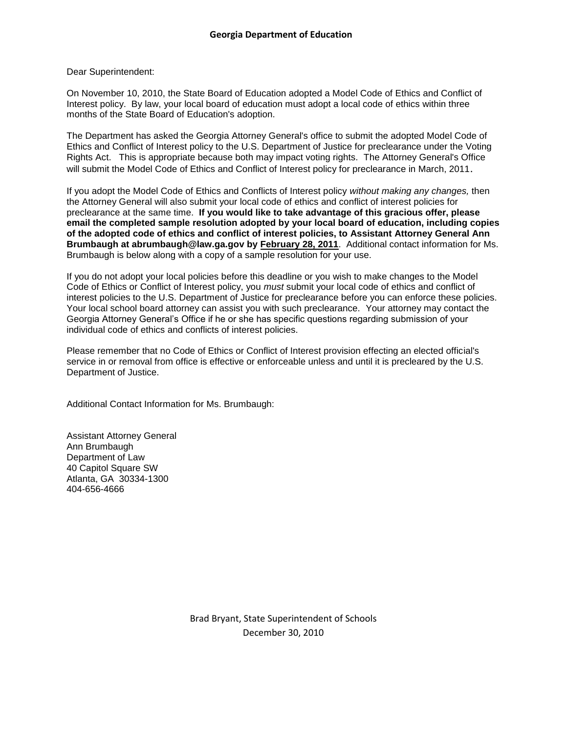## Dear Superintendent:

On November 10, 2010, the State Board of Education adopted a Model Code of Ethics and Conflict of Interest policy. By law, your local board of education must adopt a local code of ethics within three months of the State Board of Education's adoption.

The Department has asked the Georgia Attorney General's office to submit the adopted Model Code of Ethics and Conflict of Interest policy to the U.S. Department of Justice for preclearance under the Voting Rights Act. This is appropriate because both may impact voting rights. The Attorney General's Office will submit the Model Code of Ethics and Conflict of Interest policy for preclearance in March, 2011.

If you adopt the Model Code of Ethics and Conflicts of Interest policy *without making any changes,* then the Attorney General will also submit your local code of ethics and conflict of interest policies for preclearance at the same time. **If you would like to take advantage of this gracious offer, please email the completed sample resolution adopted by your local board of education, including copies of the adopted code of ethics and conflict of interest policies, to Assistant Attorney General Ann Brumbaugh at abrumbaugh@law.ga.gov by February 28, 2011**. Additional contact information for Ms. Brumbaugh is below along with a copy of a sample resolution for your use.

If you do not adopt your local policies before this deadline or you wish to make changes to the Model Code of Ethics or Conflict of Interest policy, you *must* submit your local code of ethics and conflict of interest policies to the U.S. Department of Justice for preclearance before you can enforce these policies. Your local school board attorney can assist you with such preclearance. Your attorney may contact the Georgia Attorney General's Office if he or she has specific questions regarding submission of your individual code of ethics and conflicts of interest policies.

Please remember that no Code of Ethics or Conflict of Interest provision effecting an elected official's service in or removal from office is effective or enforceable unless and until it is precleared by the U.S. Department of Justice.

Additional Contact Information for Ms. Brumbaugh:

Assistant Attorney General Ann Brumbaugh Department of Law 40 Capitol Square SW Atlanta, GA 30334-1300 404-656-4666

> Brad Bryant, State Superintendent of Schools December 30, 2010